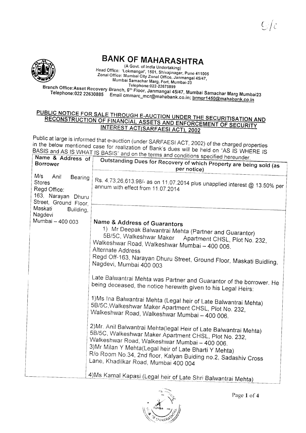## **BANK OF MAHARASHTRA**

(A Govt. of India Undertaking) Head Office: 'Lokmangal', 1501, Shivajinagar, Pune 411005 Zonal Office: Mumbai City Zonal Office, Janmangal 45/47, Mumbai Samachar Marg, Fort, Mumbai-23 Telephone: 022-22675899

Branch Office:Asset Recovery Branch, 6<sup>th</sup> Floor, Janmangal 45/47, Mumbai Samachar Marg Mumbai23 Telephone:022 22630885 Email cmmarc\_mcr@mahabank.co.in; brmgr1450@mahabank.co.in

## PUBLIC NOTICE FOR SALE THROUGH E-AUCTION UNDER THE SECURITISATION AND RECONSTRUCTION OF FINANCIAL ASSETS AND ENFORCEMENT OF SECURITY INTEREST ACT(SARFAESI ACT), 2002

Public at large is informed that e-auction (under SARFAESI ACT, 2002) of the charged properties in the below mentioned case for realization of Bank's dues will be held on "AS IS WHERE IS BASIS and AS IS WHAT IS BASIS" and on the terms and conditions specified hereunder

| ivalle & Address of                                                                                    |                                                                                                                                                                                                                                                                                                                                                                                                                                                                                                                                                                                                                                                                                                                                                                             |  |  |  |
|--------------------------------------------------------------------------------------------------------|-----------------------------------------------------------------------------------------------------------------------------------------------------------------------------------------------------------------------------------------------------------------------------------------------------------------------------------------------------------------------------------------------------------------------------------------------------------------------------------------------------------------------------------------------------------------------------------------------------------------------------------------------------------------------------------------------------------------------------------------------------------------------------|--|--|--|
| <b>Borrower</b>                                                                                        | Outstanding Dues for Recovery of which Property are being sold (as<br>per notice)                                                                                                                                                                                                                                                                                                                                                                                                                                                                                                                                                                                                                                                                                           |  |  |  |
| M/s<br>Anil<br>Bearing<br><b>Stores</b><br>Regd Office:<br>163, Narayan Dhuru<br>Street, Ground Floor, | Rs. 4,73,26,613.98/- as on 11.07.2014 plus unapplied interest @ 13.50% per<br>annum with effect from 11.07.2014                                                                                                                                                                                                                                                                                                                                                                                                                                                                                                                                                                                                                                                             |  |  |  |
| Maskati<br>Building,                                                                                   |                                                                                                                                                                                                                                                                                                                                                                                                                                                                                                                                                                                                                                                                                                                                                                             |  |  |  |
| Nagdevi<br>Mumbai - 400 003                                                                            | Name & Address of Guarantors<br>1) Mr Deepak Balwantrai Mehta (Partner and Guarantor)<br>5B/5C, Walkeshwar Maker Apartment CHSL, Plot No. 232,<br>Walkeshwar Road, Walkeshwar Mumbai - 400 006.<br>Alternate Address<br>Regd Off-163, Narayan Dhuru Street, Ground Floor, Maskati Buidling,<br>Nagdevi, Mumbai 400 003<br>Late Balwantrai Mehta was Partner and Guarantor of the borrower. He<br>being deceased, the notice herewith given to his Legal Heirs:<br>1) Ms Ina Balwantrai Mehta (Legal heir of Late Balwantrai Mehta)<br>5B/5C, Walkeshwar Maker Apartment CHSL, Plot No. 232,<br>Walkeshwar Road, Walkeshwar Mumbai -- 400 006.<br>2) Mr. Anil Balwantrai Mehta(legal Heir of Late Balwantrai Mehta)<br>5B/5C, Walkeshwar Maker Apartment CHSL, Plot No. 232, |  |  |  |
|                                                                                                        | Walkeshwar Road, Walkeshwar Mumbai - 400 006.<br>3) Mr Milan Y Mehta (Legal heir of Late Bharti Y Mehta)<br>R/o Room No.34, 2nd floor, Kalyan Buiding no.2, Sadashiv Cross<br>Lane, Khadilkar Road, Mumbai 400 004<br>4) Ms Kamal Kapasi (Legal heir of Late Shri Balwantrai Mehta)                                                                                                                                                                                                                                                                                                                                                                                                                                                                                         |  |  |  |
|                                                                                                        |                                                                                                                                                                                                                                                                                                                                                                                                                                                                                                                                                                                                                                                                                                                                                                             |  |  |  |



Page 1 of 4

 $C/c$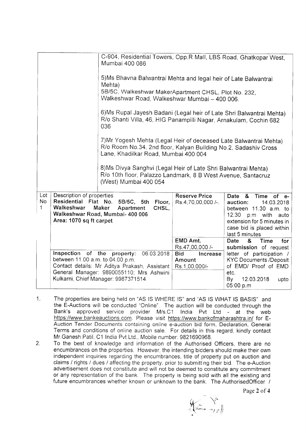|                                                                           |                                                                                                                                                                                       | C-904, Residential Towers, Opp.R Mall, LBS Road, Ghatkopar West,<br>Mumbai 400 086                                                                                           |                                                   |                                                                                                                                                                                        |  |  |
|---------------------------------------------------------------------------|---------------------------------------------------------------------------------------------------------------------------------------------------------------------------------------|------------------------------------------------------------------------------------------------------------------------------------------------------------------------------|---------------------------------------------------|----------------------------------------------------------------------------------------------------------------------------------------------------------------------------------------|--|--|
| 5) Ms Bhavna Balwantrai Mehta and legal heir of Late Balwantrai<br>Mehta) |                                                                                                                                                                                       |                                                                                                                                                                              |                                                   |                                                                                                                                                                                        |  |  |
|                                                                           |                                                                                                                                                                                       | 5B/5C, Walkeshwar MakerApartment CHSL, Plot No. 232,<br>Walkeshwar Road, Walkeshwar Mumbai - 400 006.                                                                        |                                                   |                                                                                                                                                                                        |  |  |
|                                                                           |                                                                                                                                                                                       | 6) Ms Rupal Jayesh Badani (Legal heir of Late Shri Balwantrai Mehta)<br>R/o Shanti Villa, 46, HIG Panampilli Nagar, Arnakulam, Cochin 682<br>036                             |                                                   |                                                                                                                                                                                        |  |  |
|                                                                           |                                                                                                                                                                                       | 7) Mr Yogesh Mehta (Legal Heir of deceased Late Balwantrai Mehta)<br>R/o Room No.34, 2nd floor, Kalyan Building No.2, Sadashiv Cross<br>Lane, Khadilkar Road, Mumbai 400 004 |                                                   |                                                                                                                                                                                        |  |  |
|                                                                           | 8) Ms Divya Sanghvi (Legal Heir of Late Shri Balwantrai Mehta)<br>R/o 10th floor, Palazzo Landmark, 8 B West Avenue, Santacruz<br>(West) Mumbai 400 054                               |                                                                                                                                                                              |                                                   |                                                                                                                                                                                        |  |  |
| Lot<br>No<br>$\mathbf{1}$                                                 | Description of properties<br>Residential Flat No.<br>5B/5C, 5th<br>Floor,<br>Walkeshwar<br>Maker<br>Apartment<br>CHSL,<br>Walkeshwar Road, Mumbai- 400 006<br>Area: 1070 sq ft carpet |                                                                                                                                                                              | <b>Reserve Price</b><br>Rs.4,70,00,000 /-.        | Date &<br>Time<br>of<br>$e-$<br>14.03.2018<br>auction:<br>between 11.30 a.m. to<br>12:30 p.m with<br>auto<br>extension for 5 minutes in<br>case bid is placed within<br>last 5 minutes |  |  |
|                                                                           |                                                                                                                                                                                       |                                                                                                                                                                              | EMD Amt.<br>Rs.47,00,000 /-                       | Date<br>&<br><b>Time</b><br>for<br>submission of request                                                                                                                               |  |  |
|                                                                           | Inspection of the property:<br>06.03.2018<br>between 11.00 a.m. to 04.00 p.m.<br>Contact details: Mr Aditya Prakash, Assistant<br>General Manager: 9890055110; Mrs Ashwini            |                                                                                                                                                                              | <b>Bid</b><br>Increase<br>Amount<br>Rs.1,00,000/- | letter of participation /<br><b>KYC Documents /Deposit</b><br>of EMD/ Proof of EMD                                                                                                     |  |  |
|                                                                           |                                                                                                                                                                                       | Kulkarni, Chief Manager: 9987371514                                                                                                                                          |                                                   | etc.<br>12.03.2018<br>By<br>upto<br>05:00 p.m                                                                                                                                          |  |  |

- 1. The properrties are being held on "AS lS WHERE lS" and "AS lS WHAT lS BASIS" and the E-Auctions will be conducted "Online". The auction will be conducted through the Bank's approved service provider M/s.C1 India Pvt Ltd - at the web https://www.bankeauctions.com. Please visit https://www.bankofmaharashtra.in/ for E-Auction Tender Documents containing online e-auction bid form, Declaration, General Terms and conditions of online auction sale. For details in this regard, kindly contact Mr.Ganesh Patil, C1 India Pvt Ltd., Mobile number. 9821690968.
- $2.$ To the best of knowledge and information of the Authorised Officers, there are no encumbrances on the properties. However, the intending bidders should make their own independent inquiries regarding the encumbrances, title of property put on auction and claims / rights / dues / affecting the property, prior to submitting their bid. The e-Auction advertisement does not constitute and will not be deemed to constitute any commitment or any representation of the bank. The property is being sold with all the existing and future encumbrances whether known or unknown to the bank. The AuthorisedOfficer /

Page 2 of 4

 $\frac{1}{2}$  .  $\sqrt{M}$ umo $a$ Y "| [ F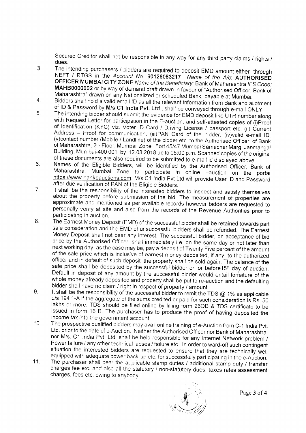Secured Creditor shall not be responsible in any way for any third party claims / rights /

- $3<sub>l</sub>$ dues.<br>The intending purchasers / bidders are required to deposit EMD amount either through
- 4.
- NEFT / RTGS in the Account No. 60126083217 Name of the A/c: AUTHORISED<br>OFFICER MUMBAI CITY ZONE Name of the Beneficiary: Bank of Maharashtra IFS Code:<br>MAHB0000002 or by way of demand draft drawn in favour of "Authorised Of of Maharashtra, 2<sup>nd</sup> Floor, Mumbai Zone, Fort 45/47 Mumbai Samachar Marg, Janmangal Building, Mumbai-400 001 by 12.03.2018 up to 05:00 p.m. Scanned copies of the original of these documents are also required to be submitted to e-mail id displayed above.<br>Names of the Eligible Bidders, will be identified by the Authorised Officer, Bank of 5.
- $6.$ Maharashtra, Mumbai Zone to participate in online -auction on the portal https://www.bankeauctions.com. M/s C1 India Pvt Ltd will provide User ID and Password
- after due verification of PAN of the Eligible Bidders.<br>It shall be the responsibility of the interested bidders to inspect and satisfy themselves about the property before submission of the bid. The measurement of properties are approximate and mentioned as per available records however bidders are requested to personally verify at site and also from the records of 7.
- sale consideration and the EMD of unsuccessful bidders shall be refunded. The Earnest<br>Money Deposit shall not bear any interest. The successful bidder, on acceptance of bid price by the Authorised Officer, shall immediately i.e. on the same day or not later than<br>next working day, as the case may be, pay a deposit of Twenty Five percent of the amount of the sale price which is inclusive of earnest money deposited, if any, to the authorized officer and in default of such deposit, the property shall be sold again. The balance of the sale price shall be deposited by the successful bidder on or before15<sup>th</sup> day of auction.<br>Default in deposit of any amount by the successful bidder would entail forfeiture of the whole money already deposited and property shall be put to re-auction and the defaulting bidder shall have no claim / right in respect of property / amount.<br>It shall be the responsibility of the successful bidder to remit the TDS @ 1% as applicable d.
- 9. u/s 194 1-A if the aggregate of the sums credited or paid for such consideration is Rs. 50 lakhs or more. TDS should be filed online by filling form 26QB & TDS certificate to be issued in form 16 B. The purchaser has to pr income tax into the government account.
- The prospective qualified bidders may avail online training of e-Auction from C-1 India Pvt. Ltd. prior to the date of e-Auction. Neither the Authorised Officer nor Bank of Maharashtra, nor M/s. C1 India Pvt. Ltd. shall be held responsible for any lnternet Network problem / Power failure / any other technical lapses / failure etc. In order to ward-off such contingent<br>situation the interested bidders are requested to ensure that they are technically well 10
- equipped with adequate power back-up etc. for successfully participating in the e-Auction.<br>The purchaser shall bear the applicable stamp duties / additional stamp duty / transfer charges fee etc. and also all the statutory / non-statutory dues, taxes rates assessment charges, fees etc. owing to anybody. 11.

 $\mathcal{A}$